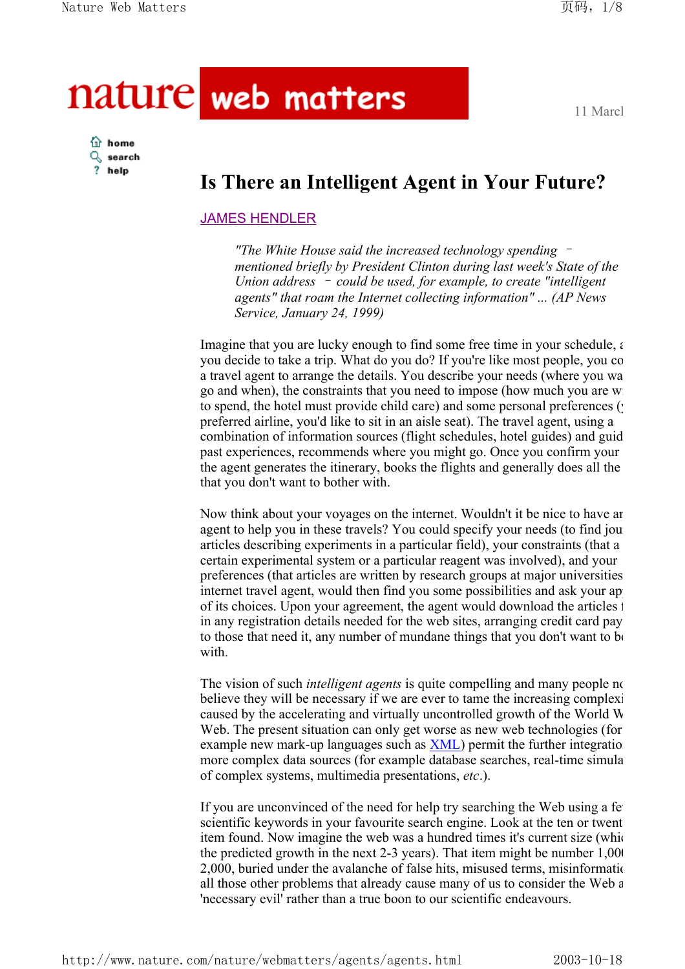# nature web matters

11 March

#### **turn** home  $Q$  search ? help

## **Is There an Intelligent Agent in Your Future?**

### JAMES HENDLER

*"The White House said the increased technology spending* – *mentioned briefly by President Clinton during last week's State of the Union address* – *could be used, for example, to create "intelligent agents" that roam the Internet collecting information" ... (AP News Service, January 24, 1999)*

Imagine that you are lucky enough to find some free time in your schedule,  $\epsilon$ you decide to take a trip. What do you do? If you're like most people, you co a travel agent to arrange the details. You describe your needs (where you wa go and when), the constraints that you need to impose (how much you are wi to spend, the hotel must provide child care) and some personal preferences ( $\cdot$ preferred airline, you'd like to sit in an aisle seat). The travel agent, using a combination of information sources (flight schedules, hotel guides) and guid past experiences, recommends where you might go. Once you confirm your the agent generates the itinerary, books the flights and generally does all the that you don't want to bother with.

Now think about your voyages on the internet. Wouldn't it be nice to have an agent to help you in these travels? You could specify your needs (to find jour articles describing experiments in a particular field), your constraints (that a certain experimental system or a particular reagent was involved), and your preferences (that articles are written by research groups at major universities internet travel agent, would then find you some possibilities and ask your ap of its choices. Upon your agreement, the agent would download the articles f in any registration details needed for the web sites, arranging credit card pay to those that need it, any number of mundane things that you don't want to be with.

The vision of such *intelligent agents* is quite compelling and many people no believe they will be necessary if we are ever to tame the increasing complexi caused by the accelerating and virtually uncontrolled growth of the World W Web. The present situation can only get worse as new web technologies (for example new mark-up languages such as  $XML$ ) permit the further integration more complex data sources (for example database searches, real-time simula of complex systems, multimedia presentations, *etc*.).

If you are unconvinced of the need for help try searching the Web using a fe scientific keywords in your favourite search engine. Look at the ten or twent item found. Now imagine the web was a hundred times it's current size (whic the predicted growth in the next  $2-3$  years). That item might be number  $1,000$ 2,000, buried under the avalanche of false hits, misused terms, misinformatio all those other problems that already cause many of us to consider the Web a 'necessary evil' rather than a true boon to our scientific endeavours.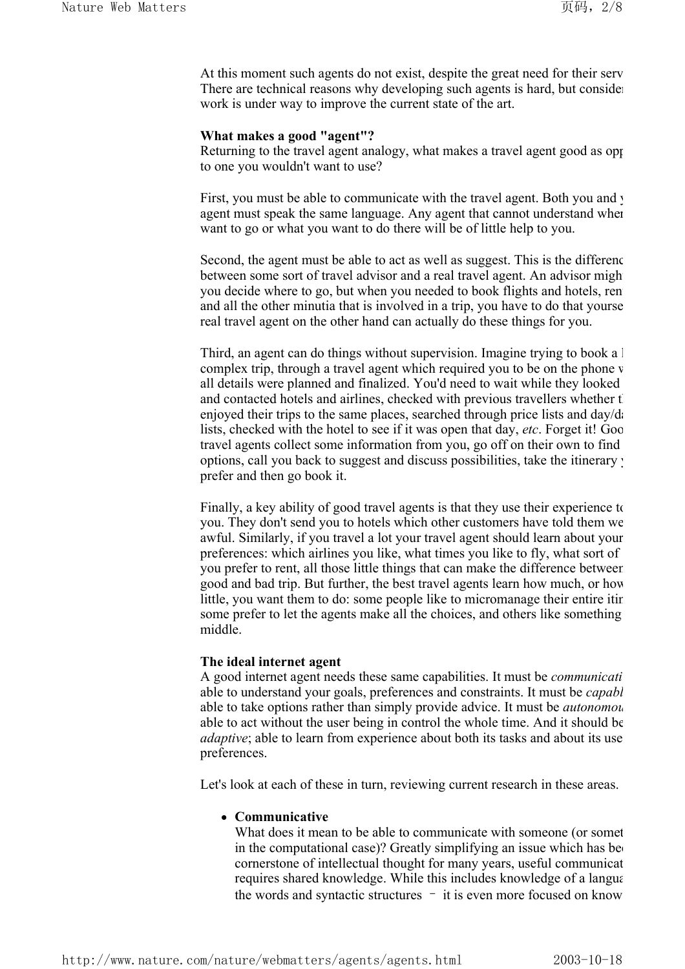At this moment such agents do not exist, despite the great need for their serv There are technical reasons why developing such agents is hard, but consider work is under way to improve the current state of the art.

#### **What makes a good "agent"?**

Returning to the travel agent analogy, what makes a travel agent good as opposing to one you wouldn't want to use?

First, you must be able to communicate with the travel agent. Both you and y agent must speak the same language. Any agent that cannot understand wher want to go or what you want to do there will be of little help to you.

Second, the agent must be able to act as well as suggest. This is the differenc between some sort of travel advisor and a real travel agent. An advisor might you decide where to go, but when you needed to book flights and hotels, rent and all the other minutia that is involved in a trip, you have to do that yourse real travel agent on the other hand can actually do these things for you.

Third, an agent can do things without supervision. Imagine trying to book a l complex trip, through a travel agent which required you to be on the phone w all details were planned and finalized. You'd need to wait while they looked and contacted hotels and airlines, checked with previous travellers whether the enjoyed their trips to the same places, searched through price lists and  $day/d$ . lists, checked with the hotel to see if it was open that day, *etc*. Forget it! Goo travel agents collect some information from you, go off on their own to find options, call you back to suggest and discuss possibilities, take the itinerary y prefer and then go book it.

Finally, a key ability of good travel agents is that they use their experience to you. They don't send you to hotels which other customers have told them we awful. Similarly, if you travel a lot your travel agent should learn about your preferences: which airlines you like, what times you like to fly, what sort of you prefer to rent, all those little things that can make the difference between good and bad trip. But further, the best travel agents learn how much, or how little, you want them to do: some people like to micromanage their entire itin some prefer to let the agents make all the choices, and others like something middle.

#### **The ideal internet agent**

A good internet agent needs these same capabilities. It must be *communicati* able to understand your goals, preferences and constraints. It must be *capabl* able to take options rather than simply provide advice. It must be *autonomou* able to act without the user being in control the whole time. And it should be *adaptive*; able to learn from experience about both its tasks and about its use preferences.

Let's look at each of these in turn, reviewing current research in these areas.

#### <sup>z</sup> **Communicative**

What does it mean to be able to communicate with someone (or somet in the computational case)? Greatly simplifying an issue which has been cornerstone of intellectual thought for many years, useful communicat requires shared knowledge. While this includes knowledge of a langua the words and syntactic structures – it is even more focused on know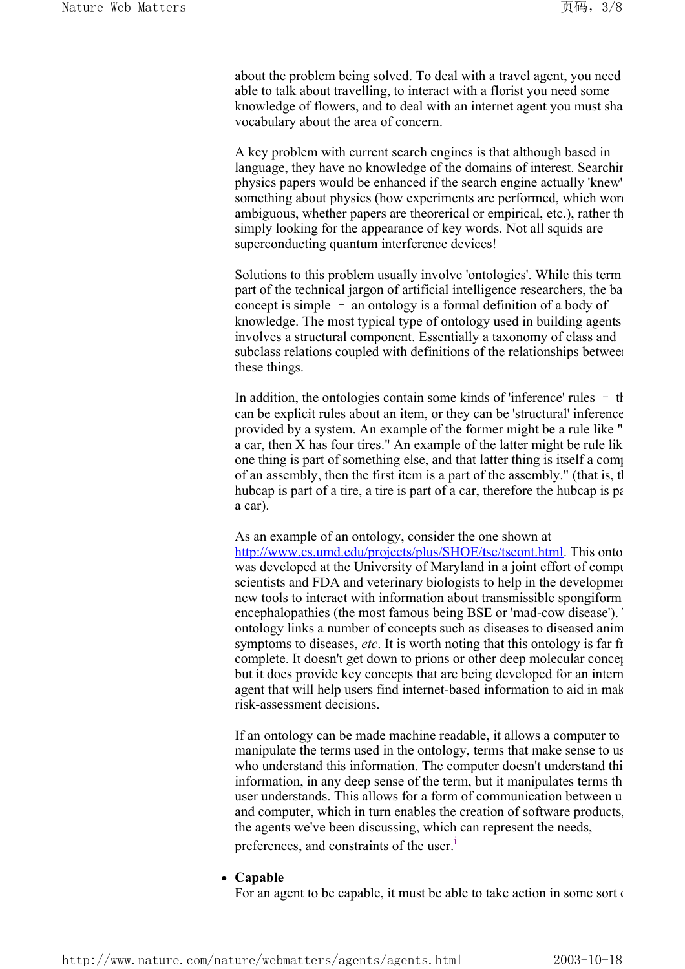about the problem being solved. To deal with a travel agent, you need able to talk about travelling, to interact with a florist you need some knowledge of flowers, and to deal with an internet agent you must sha vocabulary about the area of concern.

A key problem with current search engines is that although based in language, they have no knowledge of the domains of interest. Searching physics papers would be enhanced if the search engine actually 'knew' something about physics (how experiments are performed, which word ambiguous, whether papers are theorerical or empirical, etc.), rather th simply looking for the appearance of key words. Not all squids are superconducting quantum interference devices!

Solutions to this problem usually involve 'ontologies'. While this term part of the technical jargon of artificial intelligence researchers, the ba concept is simple – an ontology is a formal definition of a body of knowledge. The most typical type of ontology used in building agents involves a structural component. Essentially a taxonomy of class and subclass relations coupled with definitions of the relationships between these things.

In addition, the ontologies contain some kinds of 'inference' rules – th can be explicit rules about an item, or they can be 'structural' inference provided by a system. An example of the former might be a rule like " a car, then X has four tires." An example of the latter might be rule lik one thing is part of something else, and that latter thing is itself a comp of an assembly, then the first item is a part of the assembly." (that is, th hubcap is part of a tire, a tire is part of a car, therefore the hubcap is part a car).

As an example of an ontology, consider the one shown at

http://www.cs.umd.edu/projects/plus/SHOE/tse/tseont.html. This onto was developed at the University of Maryland in a joint effort of compu scientists and FDA and veterinary biologists to help in the developmen new tools to interact with information about transmissible spongiform encephalopathies (the most famous being BSE or 'mad-cow disease'). ontology links a number of concepts such as diseases to diseased anim symptoms to diseases, *etc*. It is worth noting that this ontology is far fr complete. It doesn't get down to prions or other deep molecular concep but it does provide key concepts that are being developed for an intern agent that will help users find internet-based information to aid in mak risk-assessment decisions.

If an ontology can be made machine readable, it allows a computer to manipulate the terms used in the ontology, terms that make sense to us who understand this information. The computer doesn't understand thi information, in any deep sense of the term, but it manipulates terms th user understands. This allows for a form of communication between u and computer, which in turn enables the creation of software products, the agents we've been discussing, which can represent the needs, preferences, and constraints of the user. $\frac{1}{2}$ 

#### • Capable

For an agent to be capable, it must be able to take action in some sort of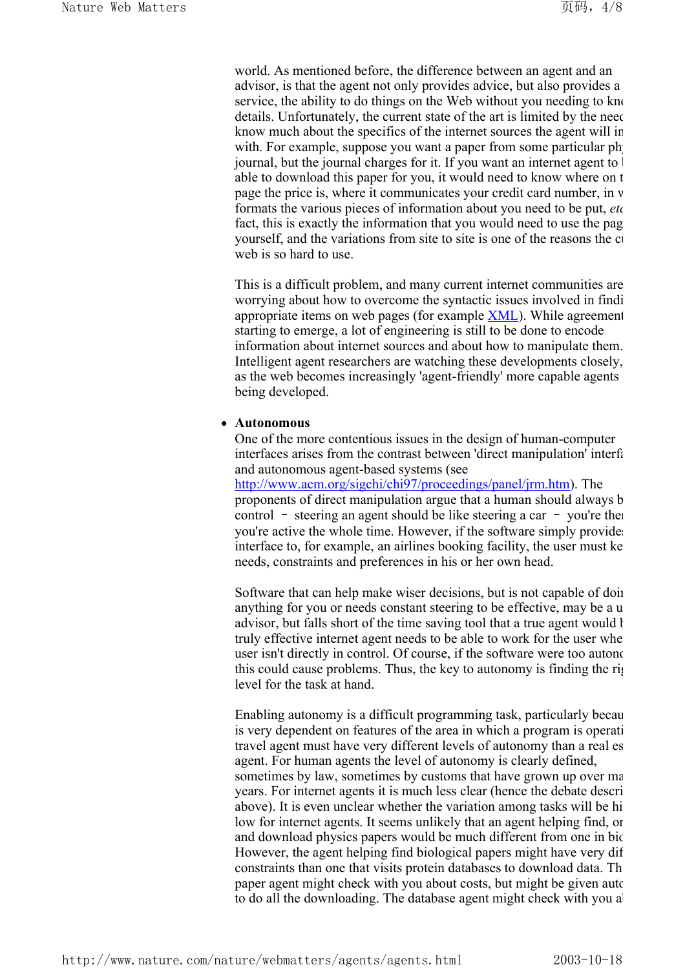world. As mentioned before, the difference between an agent and an advisor, is that the agent not only provides advice, but also provides a service, the ability to do things on the Web without you needing to know details. Unfortunately, the current state of the art is limited by the need know much about the specifics of the internet sources the agent will in with. For example, suppose you want a paper from some particular physical journal, but the journal charges for it. If you want an internet agent to be able to download this paper for you, it would need to know where on t page the price is, where it communicates your credit card number, in w formats the various pieces of information about you need to be put, *etc* fact, this is exactly the information that you would need to use the pag yourself, and the variations from site to site is one of the reasons the cu web is so hard to use.

This is a difficult problem, and many current internet communities are worrying about how to overcome the syntactic issues involved in findi appropriate items on web pages (for example XML). While agreement starting to emerge, a lot of engineering is still to be done to encode information about internet sources and about how to manipulate them. Intelligent agent researchers are watching these developments closely, as the web becomes increasingly 'agent-friendly' more capable agents being developed.

#### <sup>z</sup> **Autonomous**

One of the more contentious issues in the design of human-computer interfaces arises from the contrast between 'direct manipulation' interfa and autonomous agent-based systems (see http://www.acm.org/sigchi/chi97/proceedings/panel/jrm.htm). The proponents of direct manipulation argue that a human should always b control – steering an agent should be like steering a car – you're the you're active the whole time. However, if the software simply provides interface to, for example, an airlines booking facility, the user must ke needs, constraints and preferences in his or her own head.

Software that can help make wiser decisions, but is not capable of doin anything for you or needs constant steering to be effective, may be a u advisor, but falls short of the time saving tool that a true agent would be truly effective internet agent needs to be able to work for the user whe user isn't directly in control. Of course, if the software were too autono this could cause problems. Thus, the key to autonomy is finding the rig level for the task at hand.

Enabling autonomy is a difficult programming task, particularly becau is very dependent on features of the area in which a program is operati travel agent must have very different levels of autonomy than a real es agent. For human agents the level of autonomy is clearly defined, sometimes by law, sometimes by customs that have grown up over ma years. For internet agents it is much less clear (hence the debate descri above). It is even unclear whether the variation among tasks will be hi low for internet agents. It seems unlikely that an agent helping find, or and download physics papers would be much different from one in bio However, the agent helping find biological papers might have very dif constraints than one that visits protein databases to download data. Th paper agent might check with you about costs, but might be given auto to do all the downloading. The database agent might check with you a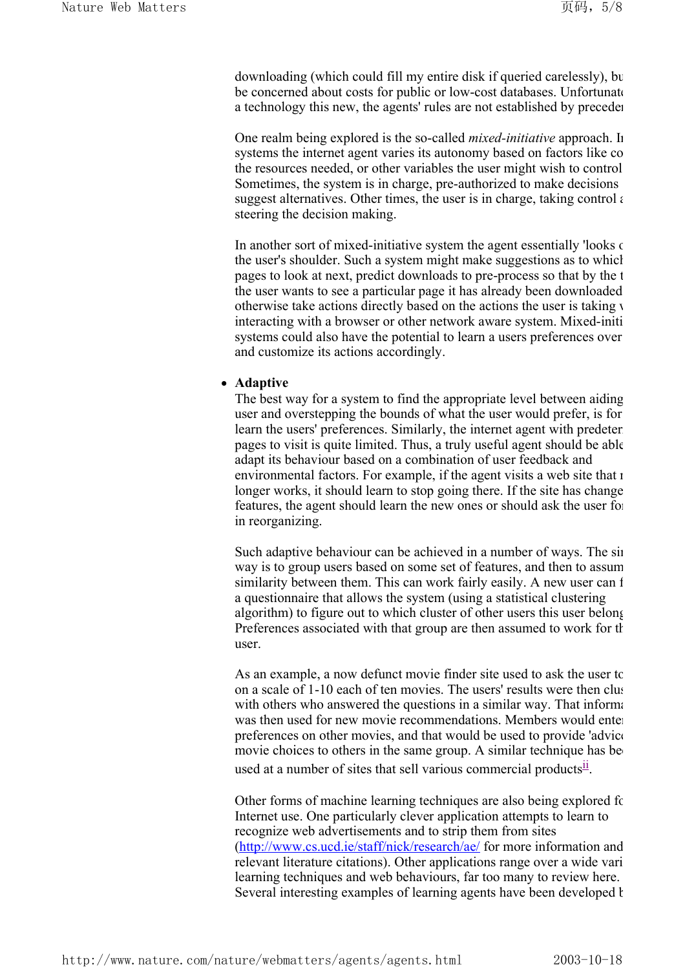downloading (which could fill my entire disk if queried carelessly), bu be concerned about costs for public or low-cost databases. Unfortunate a technology this new, the agents' rules are not established by preceden

One realm being explored is the so-called *mixed-initiative* approach. In systems the internet agent varies its autonomy based on factors like co the resources needed, or other variables the user might wish to control Sometimes, the system is in charge, pre-authorized to make decisions suggest alternatives. Other times, the user is in charge, taking control  $\epsilon$ steering the decision making.

In another sort of mixed-initiative system the agent essentially 'looks of the user's shoulder. Such a system might make suggestions as to which pages to look at next, predict downloads to pre-process so that by the t the user wants to see a particular page it has already been downloaded otherwise take actions directly based on the actions the user is taking w interacting with a browser or other network aware system. Mixed-initi systems could also have the potential to learn a users preferences over and customize its actions accordingly.

#### **•** Adaptive

The best way for a system to find the appropriate level between aiding user and overstepping the bounds of what the user would prefer, is for learn the users' preferences. Similarly, the internet agent with predeterm pages to visit is quite limited. Thus, a truly useful agent should be able adapt its behaviour based on a combination of user feedback and environmental factors. For example, if the agent visits a web site that  $\iota$ longer works, it should learn to stop going there. If the site has change features, the agent should learn the new ones or should ask the user for in reorganizing.

Such adaptive behaviour can be achieved in a number of ways. The sim way is to group users based on some set of features, and then to assum similarity between them. This can work fairly easily. A new user can f a questionnaire that allows the system (using a statistical clustering algorithm) to figure out to which cluster of other users this user belong Preferences associated with that group are then assumed to work for th user.

As an example, a now defunct movie finder site used to ask the user to on a scale of 1-10 each of ten movies. The users' results were then clus with others who answered the questions in a similar way. That informationwas then used for new movie recommendations. Members would enter preferences on other movies, and that would be used to provide 'advice movie choices to others in the same group. A similar technique has be used at a number of sites that sell various commercial products $\mathbf{u}$ .

Other forms of machine learning techniques are also being explored fo Internet use. One particularly clever application attempts to learn to recognize web advertisements and to strip them from sites (http://www.cs.ucd.ie/staff/nick/research/ae/ for more information and relevant literature citations). Other applications range over a wide vari learning techniques and web behaviours, far too many to review here. Several interesting examples of learning agents have been developed by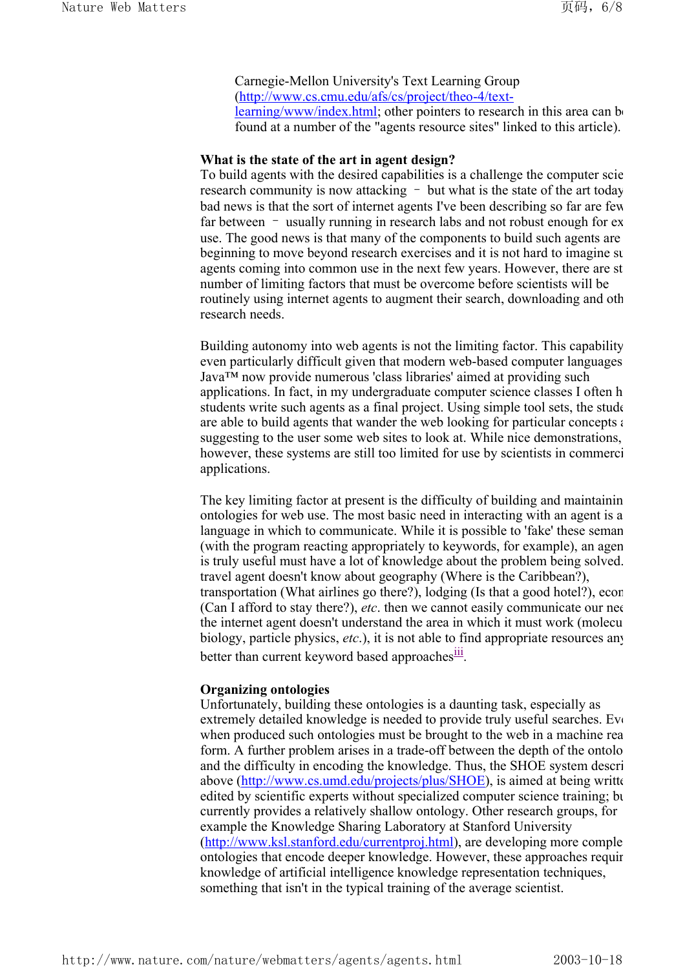Carnegie-Mellon University's Text Learning Group (http://www.cs.cmu.edu/afs/cs/project/theo-4/textlearning/www/index.html; other pointers to research in this area can be found at a number of the "agents resource sites" linked to this article).

#### **What is the state of the art in agent design?**

To build agents with the desired capabilities is a challenge the computer scie research community is now attacking – but what is the state of the art today bad news is that the sort of internet agents I've been describing so far are few far between – usually running in research labs and not robust enough for ex use. The good news is that many of the components to build such agents are beginning to move beyond research exercises and it is not hard to imagine su agents coming into common use in the next few years. However, there are st number of limiting factors that must be overcome before scientists will be routinely using internet agents to augment their search, downloading and oth research needs.

Building autonomy into web agents is not the limiting factor. This capability even particularly difficult given that modern web-based computer languages Java™ now provide numerous 'class libraries' aimed at providing such applications. In fact, in my undergraduate computer science classes I often h students write such agents as a final project. Using simple tool sets, the stude are able to build agents that wander the web looking for particular concepts a suggesting to the user some web sites to look at. While nice demonstrations, however, these systems are still too limited for use by scientists in commerci applications.

The key limiting factor at present is the difficulty of building and maintainin ontologies for web use. The most basic need in interacting with an agent is a language in which to communicate. While it is possible to 'fake' these seman (with the program reacting appropriately to keywords, for example), an agen is truly useful must have a lot of knowledge about the problem being solved. travel agent doesn't know about geography (Where is the Caribbean?), transportation (What airlines go there?), lodging (Is that a good hotel?), econ (Can I afford to stay there?), *etc*. then we cannot easily communicate our nee the internet agent doesn't understand the area in which it must work (molecu biology, particle physics, *etc*.), it is not able to find appropriate resources any better than current keyword based approaches<sup>111</sup>.

#### **Organizing ontologies**

Unfortunately, building these ontologies is a daunting task, especially as extremely detailed knowledge is needed to provide truly useful searches. Eve when produced such ontologies must be brought to the web in a machine rea form. A further problem arises in a trade-off between the depth of the ontolo and the difficulty in encoding the knowledge. Thus, the SHOE system descri above (http://www.cs.umd.edu/projects/plus/SHOE), is aimed at being writte edited by scientific experts without specialized computer science training; bu currently provides a relatively shallow ontology. Other research groups, for example the Knowledge Sharing Laboratory at Stanford University (http://www.ksl.stanford.edu/currentproj.html), are developing more comple ontologies that encode deeper knowledge. However, these approaches requir knowledge of artificial intelligence knowledge representation techniques, something that isn't in the typical training of the average scientist.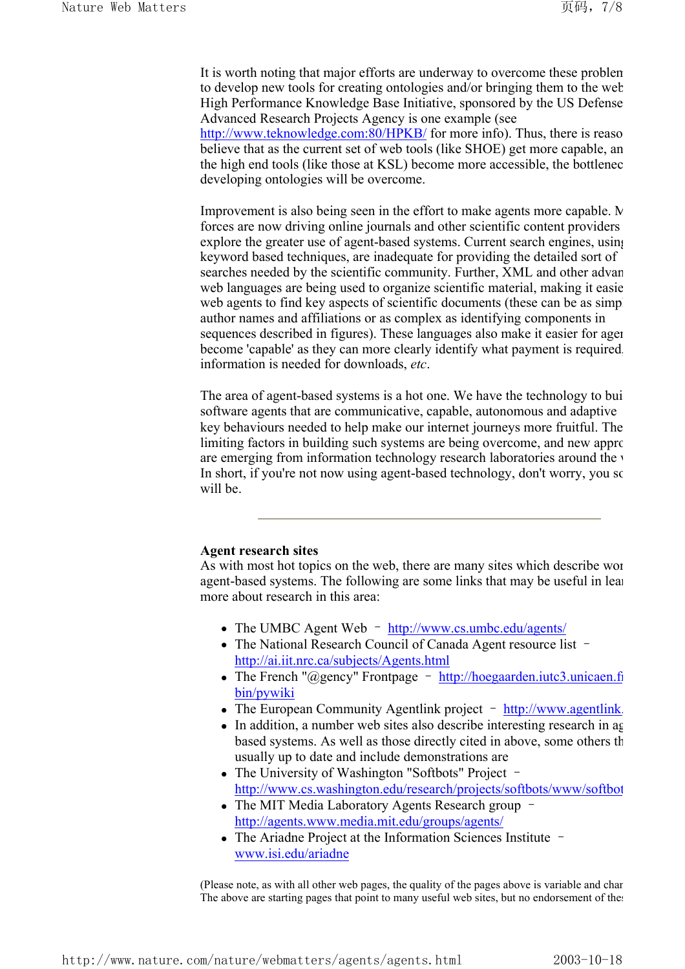It is worth noting that major efforts are underway to overcome these problem to develop new tools for creating ontologies and/or bringing them to the web High Performance Knowledge Base Initiative, sponsored by the US Defense Advanced Research Projects Agency is one example (see

http://www.teknowledge.com:80/HPKB/ for more info). Thus, there is reaso believe that as the current set of web tools (like SHOE) get more capable, an the high end tools (like those at KSL) become more accessible, the bottlenec developing ontologies will be overcome.

Improvement is also being seen in the effort to make agents more capable. No forces are now driving online journals and other scientific content providers explore the greater use of agent-based systems. Current search engines, using keyword based techniques, are inadequate for providing the detailed sort of searches needed by the scientific community. Further, XML and other advan web languages are being used to organize scientific material, making it easie web agents to find key aspects of scientific documents (these can be as simple author names and affiliations or as complex as identifying components in sequences described in figures). These languages also make it easier for agen become 'capable' as they can more clearly identify what payment is required, information is needed for downloads, *etc*.

The area of agent-based systems is a hot one. We have the technology to bui software agents that are communicative, capable, autonomous and adaptive key behaviours needed to help make our internet journeys more fruitful. The limiting factors in building such systems are being overcome, and new approximation are emerging from information technology research laboratories around the v In short, if you're not now using agent-based technology, don't worry, you so will be

#### **Agent research sites**

As with most hot topics on the web, there are many sites which describe wor agent-based systems. The following are some links that may be useful in lear more about research in this area:

- The UMBC Agent Web http://www.cs.umbc.edu/agents/
- The National Research Council of Canada Agent resource list http://ai.iit.nrc.ca/subjects/Agents.html
- The French "@gency" Frontpage http://hoegaarden.jutc3.unicaen.fr bin/pywiki
- The European Community Agentlink project http://www.agentlink.
- In addition, a number web sites also describe interesting research in ag based systems. As well as those directly cited in above, some others th usually up to date and include demonstrations are
- The University of Washington "Softbots" Project http://www.cs.washington.edu/research/projects/softbots/www/softbot
- The MIT Media Laboratory Agents Research group http://agents.www.media.mit.edu/groups/agents/
- The Ariadne Project at the Information Sciences Institute  $$ www.isi.edu/ariadne

(Please note, as with all other web pages, the quality of the pages above is variable and chan The above are starting pages that point to many useful web sites, but no endorsement of the